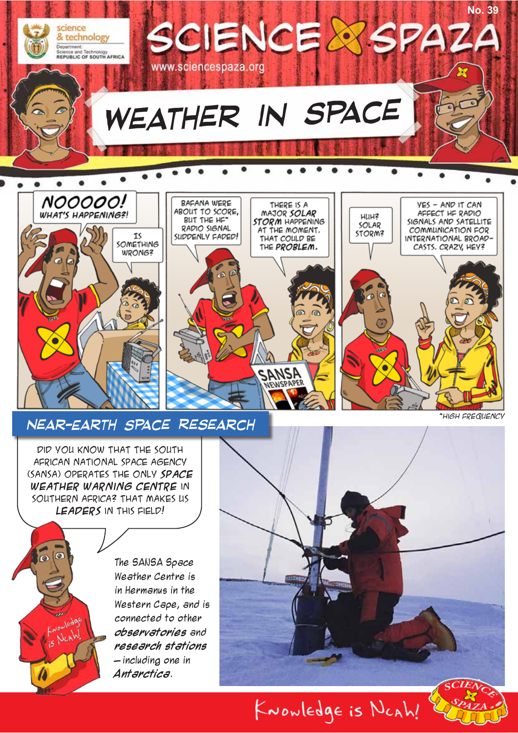

*EUNSPAPER* 

## *Near-Earth Space Research*

Did you know that the South African National Space Agency (SANSA) operates the only **Space Weather warning centre** in southern Africa? That makes us **leaders** in this field!

10  $\omega$ 

The SANSA Space Weather Centre is in Hermanus in the Western Cape, and is connected to other **observatories** and **research stations** – including one in **Antarctica**.



KNOWLEDgE is NCAh!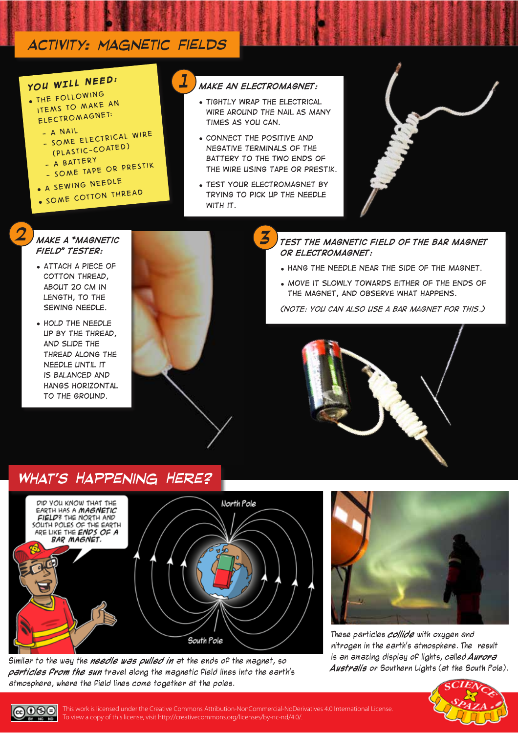## *activity: Magnetic fields*

## *YOU WILL NEED:*

- y *The following items to make an electromagnet:*
	- *A nail - Some electrical wire*
	- *(plastic-coated)*
	-
	- *A battery - Some tape or prestik*
	-
	- y *A sewing needle*
	- y *Some cotton thread*

#### *Make an electromagnet: 1*

- y *Tightly wrap the electrical wire around the nail as many times as you can.*
- y *Connect the positive and negative terminals of the battery to the two ends of the wire using tape or prestik.*
- **TEST YOUR ELECTROMAGNET BY** *trying to pick up the needle with it.*



#### *Test the magnetic field of the bar magnet or electromagnet:*

- y *Hang the needle near the side of the magnet.*
- **MOVE IT SLOWLY TOWARDS EITHER OF THE ENDS OF** *the magnet, and Observe what happens.*

*(Note: you can also use a bar magnet for this.)*

#### *Make a "magnetic 3 field" tester:*

*2*

- y *Attach a piece of cotton thread, about 20 cm in length, to the sewing needle.*
- y *Hold the needle up by the thread, and slide the thread along the needle until it is balanced and hangs horizontal to the ground.*





#### *What's Happening Here?*



Similar to the way the **needle was pulled in** at the ends of the magnet, so **particles from the sun** travel along the magnetic field lines into the earth's atmosphere, where the field lines come together at the poles.



These particles **collide** with oxygen and nitrogen in the earth's atmosphere. The result is an amazing display of lights, called **Aurora Australis** or Southern Lights (at the South Pole).



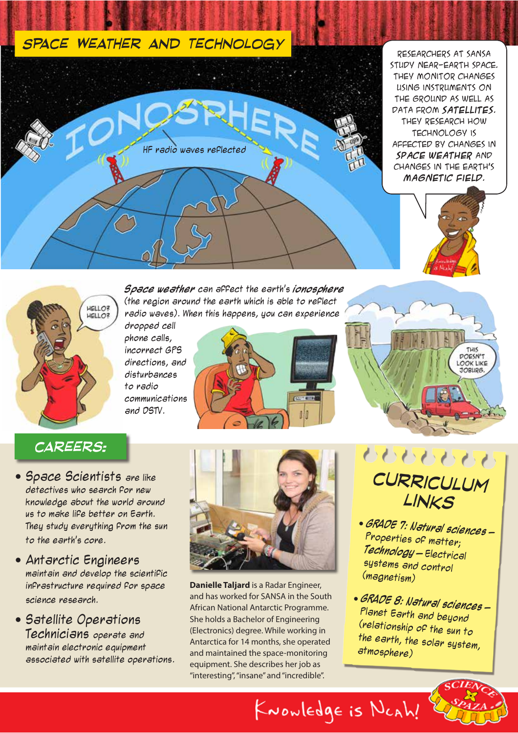## *Space Weather and Technology*



Researchers at SANSA study near-earth space. They monitor changes using instruments on the ground as well as data from **satellites**. They research how technology is affected by changes in **space weather** and changes in the earth's **magnetic field**.





**Space weather** can affect the earth's **ionosphere** (the region around the earth which is able to reflect radio waves). When this happens, you can experience

dropped cell phone calls, incorrect GPS directions, and disturbances to radio communications and DSTV.



## *careers:*

- **Space Scientists are like** detectives who search for new knowledge about the world around us to make life better on Earth. They study everything from the sun to the earth's core.
- Antarctic Engineers maintain and develop the scientific infrastructure required for space science research.
- Satellite Operations Technicians operate and maintain electronic equipment associated with satellite operations.



**Danielle Taljard** is a Radar Engineer, and has worked for SANSA in the South African National Antarctic Programme. She holds a Bachelor of Engineering (Electronics) degree. While working in Antarctica for 14 months, she operated and maintained the space-monitoring equipment. She describes her job as "interesting", "insane" and "incredible".



# *curriculum links*

- y **GRADE 7: Natural sciences** Properties of matter; **Technology** – Electrical systems and control (magnetism)
- y **GRADE 8: Natural sciences** Planet Earth and beyond (relationship of the sun to the earth, the solar system, atmosphere)